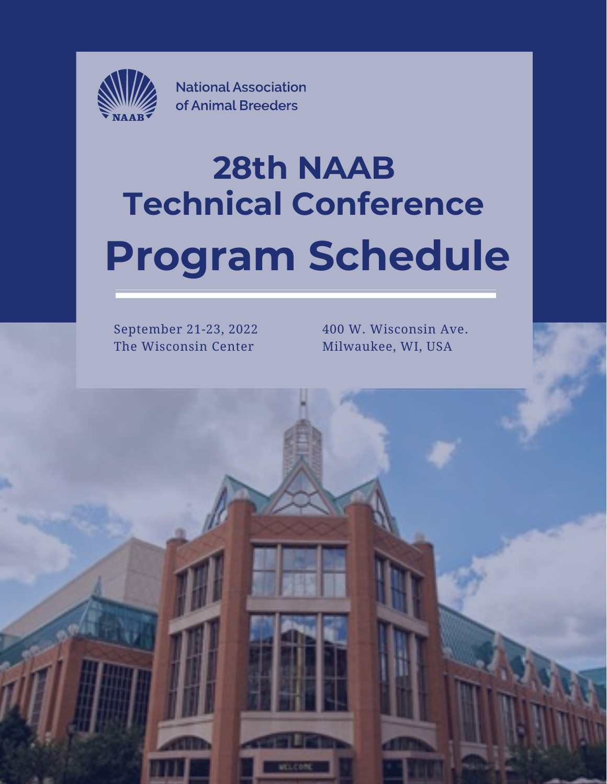

**National Association** of Animal Breeders

# **28th NAAB Technical Conference Program Schedule**

September 21-23, 2022 The Wisconsin Center

400 W. Wisconsin Ave. Milwaukee, WI, USA

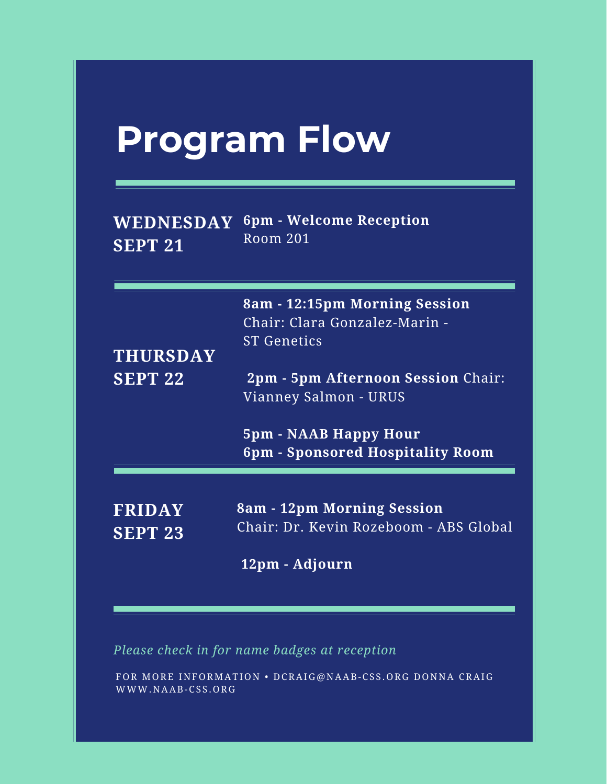# **Program Flow**

|         | $\mathbf{WEDNESDAY}$ 6pm - Welcome Reception' |
|---------|-----------------------------------------------|
| SEPT 21 | Room 201                                      |

| <b>THURSDAY</b> | 8am - 12:15pm Morning Session<br>Chair: Clara Gonzalez-Marin -<br><b>ST Genetics</b> |
|-----------------|--------------------------------------------------------------------------------------|
| <b>SEPT 22</b>  | <b>2pm - 5pm Afternoon Session Chair:</b><br>Vianney Salmon - URUS                   |
|                 | <b>5pm - NAAB Happy Hour</b><br>6pm - Sponsored Hospitality Room                     |
| <b>FRIDAY</b>   | 8am - 12pm Morning Session                                                           |
| <b>SEPT 23</b>  | Chair: Dr. Kevin Rozeboom - ABS Global                                               |
|                 | 12pm - Adjourn                                                                       |

*Please check in for name badges at reception*

FOR MORE INFORMATION • DCRAIG@NAAB-CSS.ORG DONNA CRAIG WWW.NAAB-CSS.ORG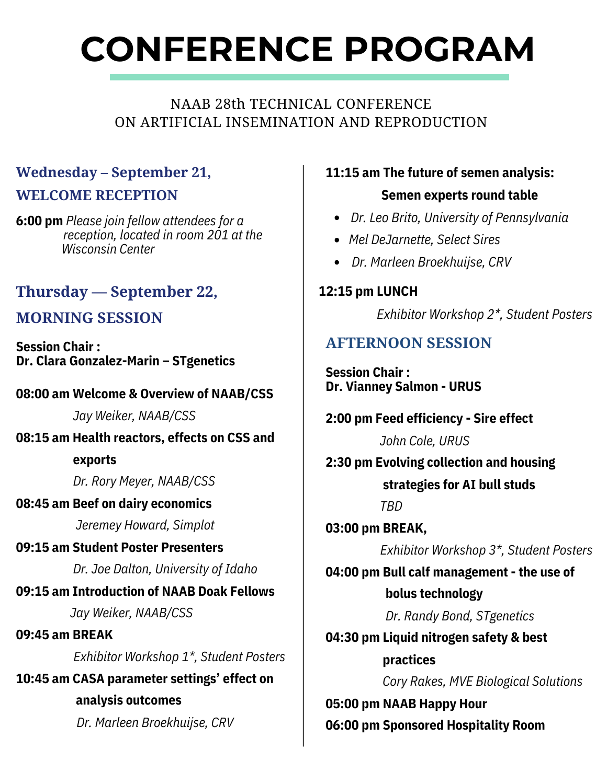# **CONFERENCE PROGRAM**

#### NAAB 28th TECHNICAL CONFERENCE ON ARTIFICIAL INSEMINATION AND REPRODUCTION

# **Wednesday – September 21, WELCOME RECEPTION**

**6:00 pm** *Please join fellow attendees for a reception, located in room 201 at the Wisconsin Center*

## **Thursday — September 22,**

### **MORNING SESSION**

**Session Chair : Dr. Clara Gonzalez-Marin – STgenetics**

#### **08:00 am Welcome & Overview of NAAB/CSS**

*Jay Weiker, NAAB/CSS*

**08:15 am Health reactors, effects on CSS and**

#### **exports**

*Dr. Rory Meyer, NAAB/CSS*

#### **08:45 am Beef on dairy economics**

*Jeremey Howard, Simplot*

#### **09:15 am Student Poster Presenters**

*Dr. Joe Dalton, University of Idaho*

# **09:15 am Introduction of NAAB Doak Fellows** *Jay Weiker, NAAB/CSS*

#### **09:45 am BREAK** *Exhibitor Workshop 1\*, Student Posters*

**10:45 am CASA parameter settings' effect on analysis outcomes**

*Dr. Marleen Broekhuijse, CRV*

#### **11:15 am The future of semen analysis:**

#### **Semen experts round table**

- *Dr. Leo Brito, University of Pennsylvania*
- *Mel DeJarnette, Select Sires*
- *Dr. Marleen Broekhuijse, CRV*

#### **12:15 pm LUNCH**

*Exhibitor Workshop 2\*, Student Posters*

## **AFTERNOON SESSION**

**Session Chair : Dr. Vianney Salmon - URUS**

#### **2:00 pm Feed efficiency - Sire effect**

*John Cole, URUS*

**2:30 pm Evolving collection and housing strategies for AI bull studs**

*TBD*

**03:00 pm BREAK,**

*Exhibitor Workshop 3\*, Student Posters*

**04:00 pm Bull calf management - the use of bolus technology**

*Dr. Randy Bond, STgenetics*

#### **04:30 pm Liquid nitrogen safety & best**

**practices** *Cory Rakes, MVE Biological Solutions*

**05:00 pm NAAB Happy Hour 06:00 pm Sponsored Hospitality Room**